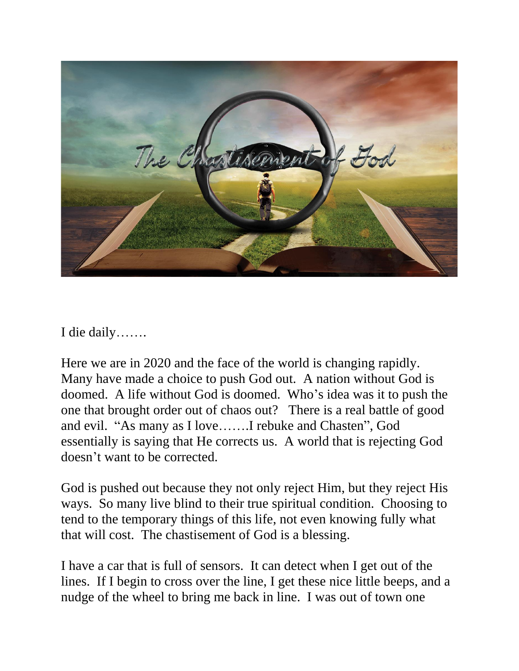

I die daily…….

Here we are in 2020 and the face of the world is changing rapidly. Many have made a choice to push God out. A nation without God is doomed. A life without God is doomed. Who's idea was it to push the one that brought order out of chaos out? There is a real battle of good and evil. "As many as I love…….I rebuke and Chasten", God essentially is saying that He corrects us. A world that is rejecting God doesn't want to be corrected.

God is pushed out because they not only reject Him, but they reject His ways. So many live blind to their true spiritual condition. Choosing to tend to the temporary things of this life, not even knowing fully what that will cost. The chastisement of God is a blessing.

I have a car that is full of sensors. It can detect when I get out of the lines. If I begin to cross over the line, I get these nice little beeps, and a nudge of the wheel to bring me back in line. I was out of town one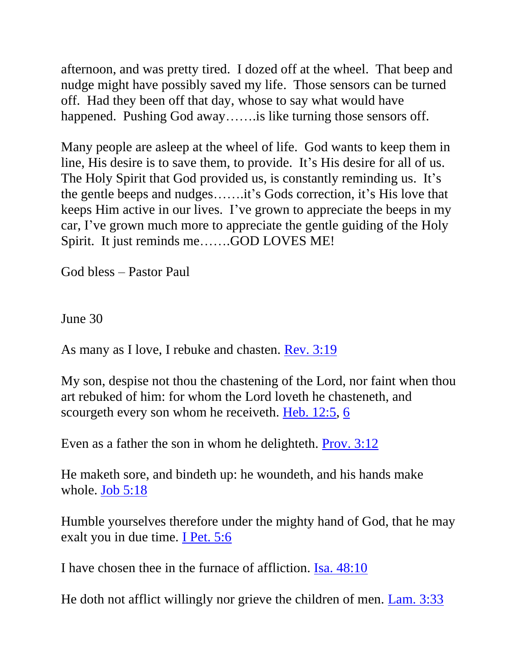afternoon, and was pretty tired. I dozed off at the wheel. That beep and nudge might have possibly saved my life. Those sensors can be turned off. Had they been off that day, whose to say what would have happened. Pushing God away....... is like turning those sensors off.

Many people are asleep at the wheel of life. God wants to keep them in line, His desire is to save them, to provide. It's His desire for all of us. The Holy Spirit that God provided us, is constantly reminding us. It's the gentle beeps and nudges…….it's Gods correction, it's His love that keeps Him active in our lives. I've grown to appreciate the beeps in my car, I've grown much more to appreciate the gentle guiding of the Holy Spirit. It just reminds me…….GOD LOVES ME!

God bless – Pastor Paul

June 30

As many as I love, I rebuke and chasten. **Rev.** 3:19

My son, despise not thou the chastening of the Lord, nor faint when thou art rebuked of him: for whom the Lord loveth he chasteneth, and scourgeth every son whom he receiveth. [Heb. 12:5,](https://biblia.com/bible/nkjv/Heb.%2012.5) [6](https://biblia.com/bible/nkjv/Heb%2012.6)

Even as a father the son in whom he delighteth. [Prov. 3:12](https://biblia.com/bible/nkjv/Prov.%203.12)

He maketh sore, and bindeth up: he woundeth, and his hands make whole. [Job 5:18](https://biblia.com/bible/nkjv/Job%205.18)

Humble yourselves therefore under the mighty hand of God, that he may exalt you in due time. [I Pet. 5:6](https://biblia.com/bible/nkjv/1%20Pet.%205.6)

I have chosen thee in the furnace of affliction. [Isa. 48:10](https://biblia.com/bible/nkjv/Isa.%2048.10)

He doth not afflict willingly nor grieve the children of men. [Lam. 3:33](https://biblia.com/bible/nkjv/Lam.%203.33)